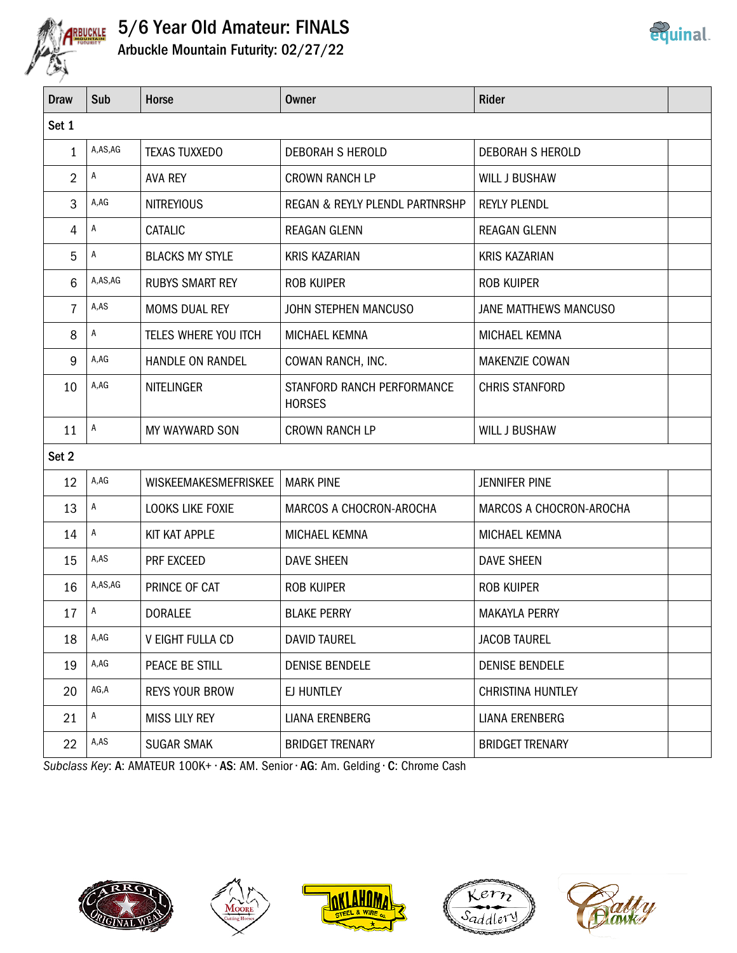

# 5/6 Year Old Amateur: FINALS

Arbuckle Mountain Futurity: 02/27/22

| <b>Draw</b>    | Sub          | Horse                   | <b>Owner</b>                                | <b>Rider</b>             |  |  |
|----------------|--------------|-------------------------|---------------------------------------------|--------------------------|--|--|
| Set 1          |              |                         |                                             |                          |  |  |
| 1              | A,AS,AG      | <b>TEXAS TUXXEDO</b>    | DEBORAH S HEROLD                            | <b>DEBORAH S HEROLD</b>  |  |  |
| $\overline{2}$ | A            | <b>AVA REY</b>          | <b>CROWN RANCH LP</b>                       | <b>WILL J BUSHAW</b>     |  |  |
| 3              | A,AG         | <b>NITREYIOUS</b>       | REGAN & REYLY PLENDL PARTNRSHP              | <b>REYLY PLENDL</b>      |  |  |
| 4              | A            | CATALIC                 | REAGAN GLENN                                | <b>REAGAN GLENN</b>      |  |  |
| 5              | A            | <b>BLACKS MY STYLE</b>  | <b>KRIS KAZARIAN</b>                        | <b>KRIS KAZARIAN</b>     |  |  |
| 6              | A,AS,AG      | <b>RUBYS SMART REY</b>  | <b>ROB KUIPER</b>                           | <b>ROB KUIPER</b>        |  |  |
| 7              | A,AS         | <b>MOMS DUAL REY</b>    | JOHN STEPHEN MANCUSO                        | JANE MATTHEWS MANCUSO    |  |  |
| 8              | A            | TELES WHERE YOU ITCH    | MICHAEL KEMNA                               | MICHAEL KEMNA            |  |  |
| 9              | A,AG         | HANDLE ON RANDEL        | COWAN RANCH, INC.                           | <b>MAKENZIE COWAN</b>    |  |  |
| 10             | A,AG         | <b>NITELINGER</b>       | STANFORD RANCH PERFORMANCE<br><b>HORSES</b> | <b>CHRIS STANFORD</b>    |  |  |
| 11             | $\mathsf{A}$ | MY WAYWARD SON          | <b>CROWN RANCH LP</b>                       | <b>WILL J BUSHAW</b>     |  |  |
| Set 2          |              |                         |                                             |                          |  |  |
| 12             | A,AG         | WISKEEMAKESMEFRISKEE    | <b>MARK PINE</b>                            | <b>JENNIFER PINE</b>     |  |  |
| 13             | A            | LOOKS LIKE FOXIE        | MARCOS A CHOCRON-AROCHA                     | MARCOS A CHOCRON-AROCHA  |  |  |
| 14             | $\mathsf{A}$ | KIT KAT APPLE           | MICHAEL KEMNA                               | MICHAEL KEMNA            |  |  |
| 15             | A,AS         | PRF EXCEED              | <b>DAVE SHEEN</b>                           | <b>DAVE SHEEN</b>        |  |  |
| 16             | A,AS,AG      | PRINCE OF CAT           | <b>ROB KUIPER</b>                           | <b>ROB KUIPER</b>        |  |  |
| 17             | Α            | <b>DORALEE</b>          | <b>BLAKE PERRY</b>                          | <b>MAKAYLA PERRY</b>     |  |  |
| 18             | A,AG         | <b>V EIGHT FULLA CD</b> | <b>DAVID TAUREL</b>                         | <b>JACOB TAUREL</b>      |  |  |
| 19             | A,AG         | PEACE BE STILL          | <b>DENISE BENDELE</b>                       | <b>DENISE BENDELE</b>    |  |  |
| 20             | AG,A         | <b>REYS YOUR BROW</b>   | EJ HUNTLEY                                  | <b>CHRISTINA HUNTLEY</b> |  |  |
| 21             | A            | <b>MISS LILY REY</b>    | <b>LIANA ERENBERG</b>                       | <b>LIANA ERENBERG</b>    |  |  |
| 22             | A,AS         | <b>SUGAR SMAK</b>       | <b>BRIDGET TRENARY</b>                      | <b>BRIDGET TRENARY</b>   |  |  |

Subclass Key: A: AMATEUR 100K+ • AS: AM. Senior • AG: Am. Gelding • C: Chrome Cash











**equinal**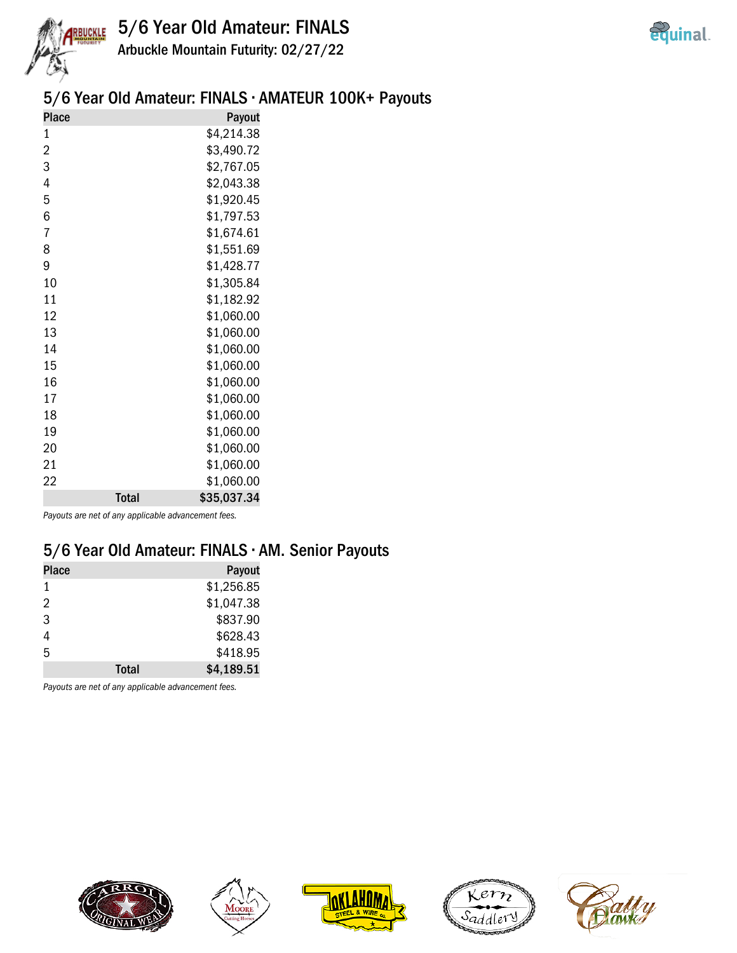



Arbuckle Mountain Futurity: 02/27/22

## 5/6 Year Old Amateur: FINALS • AMATEUR 100K+ Payouts

| <b>Place</b> |              | Payout      |
|--------------|--------------|-------------|
| 1            |              | \$4,214.38  |
| 2            |              | \$3,490.72  |
| 3            |              | \$2,767.05  |
| 4            |              | \$2,043.38  |
| 5            |              | \$1,920.45  |
| 6            |              | \$1,797.53  |
| 7            |              | \$1,674.61  |
| 8            |              | \$1,551.69  |
| 9            |              | \$1,428.77  |
| 10           |              | \$1,305.84  |
| 11           |              | \$1,182.92  |
| 12           |              | \$1,060.00  |
| 13           |              | \$1,060.00  |
| 14           |              | \$1,060.00  |
| 15           |              | \$1,060.00  |
| 16           |              | \$1,060.00  |
| 17           |              | \$1,060.00  |
| 18           |              | \$1,060.00  |
| 19           |              | \$1,060.00  |
| 20           |              | \$1,060.00  |
| 21           |              | \$1,060.00  |
| 22           |              | \$1,060.00  |
|              | <b>Total</b> | \$35,037.34 |

Payouts are net of any applicable advancement fees.

## 5/6 Year Old Amateur: FINALS • AM. Senior Payouts

| <b>Place</b> |              | Payout     |
|--------------|--------------|------------|
| 1            |              | \$1,256.85 |
| 2            |              | \$1,047.38 |
| 3            |              | \$837.90   |
| 4            |              | \$628.43   |
| 5            |              | \$418.95   |
|              | <b>Total</b> | \$4,189.51 |

Payouts are net of any applicable advancement fees.